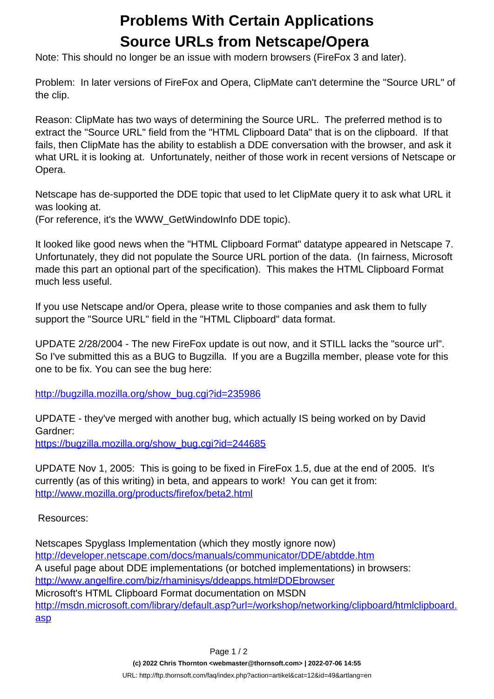## **Problems With Certain Applications Source URLs from Netscape/Opera**

Note: This should no longer be an issue with modern browsers (FireFox 3 and later).

Problem: In later versions of FireFox and Opera, ClipMate can't determine the "Source URL" of the clip.

Reason: ClipMate has two ways of determining the Source URL. The preferred method is to extract the "Source URL" field from the "HTML Clipboard Data" that is on the clipboard. If that fails, then ClipMate has the ability to establish a DDE conversation with the browser, and ask it what URL it is looking at. Unfortunately, neither of those work in recent versions of Netscape or Opera.

Netscape has de-supported the DDE topic that used to let ClipMate query it to ask what URL it was looking at.

(For reference, it's the WWW\_GetWindowInfo DDE topic).

It looked like good news when the "HTML Clipboard Format" datatype appeared in Netscape 7. Unfortunately, they did not populate the Source URL portion of the data. (In fairness, Microsoft made this part an optional part of the specification). This makes the HTML Clipboard Format much less useful.

If you use Netscape and/or Opera, please write to those companies and ask them to fully support the "Source URL" field in the "HTML Clipboard" data format.

UPDATE 2/28/2004 - The new FireFox update is out now, and it STILL lacks the "source url". So I've submitted this as a BUG to Bugzilla. If you are a Bugzilla member, please vote for this one to be fix. You can see the bug here:

[http://bugzilla.mozilla.org/show\\_bug.cgi?id=235986](http://bugzilla.mozilla.org/show_bug.cgi?id=235986)

UPDATE - they've merged with another bug, which actually IS being worked on by David Gardner:

[https://bugzilla.mozilla.org/show\\_bug.cgi?id=244685](https://bugzilla.mozilla.org/show_bug.cgi?id=244685)

UPDATE Nov 1, 2005: This is going to be fixed in FireFox 1.5, due at the end of 2005. It's currently (as of this writing) in beta, and appears to work! You can get it from: <http://www.mozilla.org/products/firefox/beta2.html>

Resources:

Netscapes Spyglass Implementation (which they mostly ignore now) <http://developer.netscape.com/docs/manuals/communicator/DDE/abtdde.htm> A useful page about DDE implementations (or botched implementations) in browsers: <http://www.angelfire.com/biz/rhaminisys/ddeapps.html#DDEbrowser> Microsoft's HTML Clipboard Format documentation on MSDN [http://msdn.microsoft.com/library/default.asp?url=/workshop/networking/clipboard/htmlclipboard.](http://msdn.microsoft.com/library/default.asp?url=/workshop/networking/clipboard/htmlclipboard.asp) [asp](http://msdn.microsoft.com/library/default.asp?url=/workshop/networking/clipboard/htmlclipboard.asp)